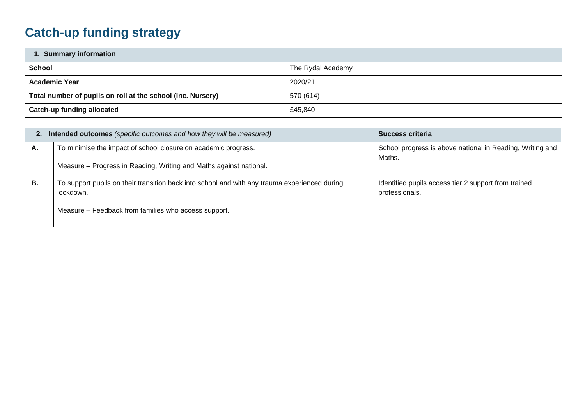## **Catch-up funding strategy**

| 1. Summary information                                      |                   |  |  |  |
|-------------------------------------------------------------|-------------------|--|--|--|
| <b>School</b>                                               | The Rydal Academy |  |  |  |
| <b>Academic Year</b>                                        | 2020/21           |  |  |  |
| Total number of pupils on roll at the school (Inc. Nursery) | 570 (614)         |  |  |  |
| Catch-up funding allocated                                  | £45,840           |  |  |  |

| Intended outcomes (specific outcomes and how they will be measured)<br>2. |                                                                                                                                                                    | Success criteria                                                       |  |  |
|---------------------------------------------------------------------------|--------------------------------------------------------------------------------------------------------------------------------------------------------------------|------------------------------------------------------------------------|--|--|
| А.                                                                        | To minimise the impact of school closure on academic progress.<br>Measure - Progress in Reading, Writing and Maths against national.                               | School progress is above national in Reading, Writing and<br>Maths.    |  |  |
| В.                                                                        | To support pupils on their transition back into school and with any trauma experienced during<br>lockdown.<br>Measure – Feedback from families who access support. | Identified pupils access tier 2 support from trained<br>professionals. |  |  |